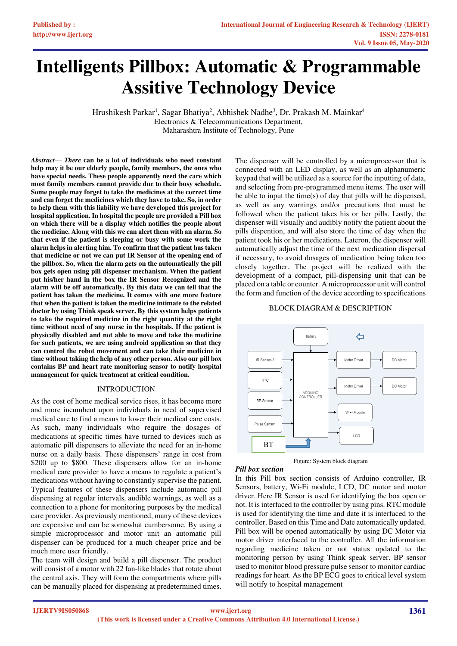# **Intelligents Pillbox: Automatic & Programmable Assitive Technology Device**

Hrushikesh Parkar<sup>1</sup>, Sagar Bhatiya<sup>2</sup>, Abhishek Nadhe<sup>3</sup>, Dr. Prakash M. Mainkar<sup>4</sup> Electronics & Telecommunications Department, Maharashtra Institute of Technology, Pune

*Abstract*— *There* **can be a lot of individuals who need constant help may it be our elderly people, family members, the ones who have special needs. These people apparently need the care which most family members cannot provide due to their busy schedule. Some people may forget to take the medicines at the correct time and can forget the medicines which they have to take. So, in order to help them with this liability we have developed this project for hospital application. In hospital the people are provided a Pill box on which there will be a display which notifies the people about the medicine. Along with this we can alert them with an alarm. So that even if the patient is sleeping or busy with some work the alarm helps in alerting him. To confirm that the patient has taken that medicine or not we can put IR Sensor at the opening end of the pillbox. So, when the alarm gets on the automatically the pill box gets open using pill dispenser mechanism. When the patient put his/her hand in the box the IR Sensor Recognized and the alarm will be off automatically. By this data we can tell that the patient has taken the medicine. It comes with one more feature that when the patient is taken the medicine intimate to the related doctor by using Think speak server. By this system helps patients to take the required medicine in the right quantity at the right time without need of any nurse in the hospitals. If the patient is physically disabled and not able to move and take the medicine for such patients, we are using android application so that they can control the robot movement and can take their medicine in time without taking the help of any other person. Also our pill box contains BP and heart rate monitoring sensor to notify hospital management for quick treatment at critical condition.** 

#### INTRODUCTION

As the cost of home medical service rises, it has become more and more incumbent upon individuals in need of supervised medical care to find a means to lower their medical care costs. As such, many individuals who require the dosages of medications at specific times have turned to devices such as automatic pill dispensers to alleviate the need for an in-home nurse on a daily basis. These dispensers' range in cost from \$200 up to \$800. These dispensers allow for an in-home medical care provider to have a means to regulate a patient's medications without having to constantly supervise the patient. Typical features of these dispensers include automatic pill dispensing at regular intervals, audible warnings, as well as a connection to a phone for monitoring purposes by the medical care provider. As previously mentioned, many of these devices are expensive and can be somewhat cumbersome. By using a simple microprocessor and motor unit an automatic pill dispenser can be produced for a much cheaper price and be much more user friendly.

The team will design and build a pill dispenser. The product will consist of a motor with 22 fan-like blades that rotate about the central axis. They will form the compartments where pills can be manually placed for dispensing at predetermined times.

The dispenser will be controlled by a microprocessor that is connected with an LED display, as well as an alphanumeric keypad that will be utilized as a source for the inputting of data, and selecting from pre-programmed menu items. The user will be able to input the time(s) of day that pills will be dispensed, as well as any warnings and/or precautions that must be followed when the patient takes his or her pills. Lastly, the dispenser will visually and audibly notify the patient about the pills dispention, and will also store the time of day when the patient took his or her medications. Lateron, the dispenser will automatically adjust the time of the next medication dispersal if necessary, to avoid dosages of medication being taken too closely together. The project will be realized with the development of a compact, pill-dispensing unit that can be placed on a table or counter. A microprocessor unit will control the form and function of the device according to specifications

#### BLOCK DIAGRAM & DESCRIPTION





In this Pill box section consists of Arduino controller, IR Sensors, battery, Wi-Fi module, LCD, DC motor and motor driver. Here IR Sensor is used for identifying the box open or not. It is interfaced to the controller by using pins. RTC module is used for identifying the time and date it is interfaced to the controller. Based on this Time and Date automatically updated. Pill box will be opened automatically by using DC Motor via motor driver interfaced to the controller. All the information regarding medicine taken or not status updated to the monitoring person by using Think speak server. BP sensor used to monitor blood pressure pulse sensor to monitor cardiac readings for heart. As the BP ECG goes to critical level system will notify to hospital management

*Pill box section*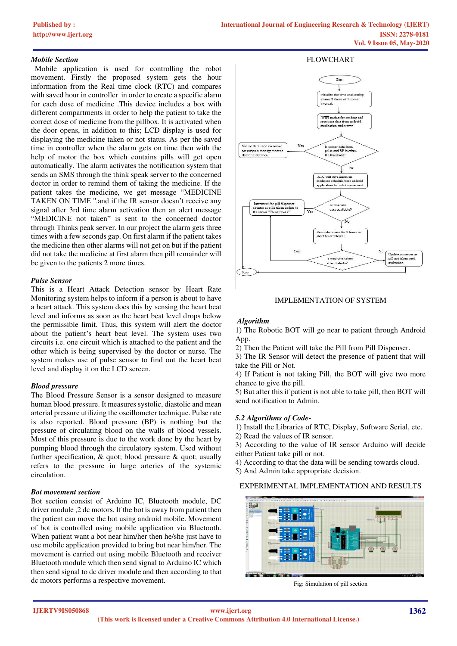## *Mobile Section*

 Mobile application is used for controlling the robot movement. Firstly the proposed system gets the hour information from the Real time clock (RTC) and compares with saved hour in controller in order to create a specific alarm for each dose of medicine .This device includes a box with different compartments in order to help the patient to take the correct dose of medicine from the pillbox. It is activated when the door opens, in addition to this; LCD display is used for displaying the medicine taken or not status. As per the saved time in controller when the alarm gets on time then with the help of motor the box which contains pills will get open automatically. The alarm activates the notification system that sends an SMS through the think speak server to the concerned doctor in order to remind them of taking the medicine. If the patient takes the medicine, we get message "MEDICINE TAKEN ON TIME ''.and if the IR sensor doesn't receive any signal after 3rd time alarm activation then an alert message "MEDICINE not taken" is sent to the concerned doctor through Thinks peak server. In our project the alarm gets three times with a few seconds gap. On first alarm if the patient takes the medicine then other alarms will not get on but if the patient did not take the medicine at first alarm then pill remainder will be given to the patients 2 more times.

## *Pulse Sensor*

This is a Heart Attack Detection sensor by Heart Rate Monitoring system helps to inform if a person is about to have a heart attack. This system does this by sensing the heart beat level and informs as soon as the heart beat level drops below the permissible limit. Thus, this system will alert the doctor about the patient's heart beat level. The system uses two circuits i.e. one circuit which is attached to the patient and the other which is being supervised by the doctor or nurse. The system makes use of pulse sensor to find out the heart beat level and display it on the LCD screen.

# *Blood pressure*

The Blood Pressure Sensor is a sensor designed to measure human blood pressure. It measures systolic, diastolic and mean arterial pressure utilizing the oscillometer technique. Pulse rate is also reported. Blood pressure (BP) is nothing but the pressure of circulating blood on the walls of blood vessels. Most of this pressure is due to the work done by the heart by pumping blood through the circulatory system. Used without further specification,  $\&$  quot; blood pressure  $\&$  quot; usually refers to the pressure in large arteries of the systemic circulation.

## *Bot movement section*

Bot section consist of Arduino IC, Bluetooth module, DC driver module ,2 dc motors. If the bot is away from patient then the patient can move the bot using android mobile. Movement of bot is controlled using mobile application via Bluetooth. When patient want a bot near him/her then he/she just have to use mobile application provided to bring bot near him/her. The movement is carried out using mobile Bluetooth and receiver Bluetooth module which then send signal to Arduino IC which then send signal to dc driver module and then according to that dc motors performs a respective movement.



## IMPLEMENTATION OF SYSTEM

## *Algorithm*

1) The Robotic BOT will go near to patient through Android App.

2) Then the Patient will take the Pill from Pill Dispenser.

3) The IR Sensor will detect the presence of patient that will take the Pill or Not.

4) If Patient is not taking Pill, the BOT will give two more chance to give the pill.

5) But after this if patient is not able to take pill, then BOT will send notification to Admin.

# *5.2 Algorithms of Code-*

1) Install the Libraries of RTC, Display, Software Serial, etc.

2) Read the values of IR sensor.

3) According to the value of IR sensor Arduino will decide either Patient take pill or not.

4) According to that the data will be sending towards cloud.

5) And Admin take appropriate decision.

# EXPERIMENTAL IMPLEMENTATION AND RESULTS



Fig: Simulation of pill section